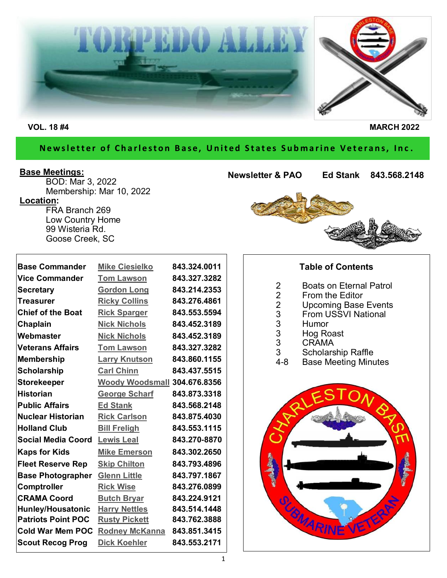

### Newsletter of Charleston Base, United States Submarine Veterans, Inc.

#### **Base Meetings:**

BOD: Mar 3, 2022 Membership: Mar 10, 2022 **Location:** FRA Branch 269 Low Country Home 99 Wisteria Rd. Goose Creek, SC

| <b>Newsletter &amp; PAO</b> | Ed Stank 843.568.2148 |
|-----------------------------|-----------------------|
|                             |                       |
|                             |                       |

| <b>Base Commander</b>     | <b>Mike Ciesielko</b>        | 843.324.0011 |
|---------------------------|------------------------------|--------------|
| <b>Vice Commander</b>     | <b>Tom Lawson</b>            | 843.327.3282 |
| <b>Secretary</b>          | <b>Gordon Long</b>           | 843.214.2353 |
| <b>Treasurer</b>          | <b>Ricky Collins</b>         | 843.276.4861 |
| <b>Chief of the Boat</b>  | <b>Rick Sparger</b>          | 843.553.5594 |
| <b>Chaplain</b>           | <b>Nick Nichols</b>          | 843.452.3189 |
| Webmaster                 | <b>Nick Nichols</b>          | 843.452.3189 |
| <b>Veterans Affairs</b>   | <b>Tom Lawson</b>            | 843.327.3282 |
| <b>Membership</b>         | <b>Larry Knutson</b>         | 843.860.1155 |
| <b>Scholarship</b>        | <b>Carl Chinn</b>            | 843.437.5515 |
| <b>Storekeeper</b>        | Woody Woodsmall 304.676.8356 |              |
| <b>Historian</b>          | <b>George Scharf</b>         | 843.873.3318 |
| <b>Public Affairs</b>     | <b>Ed Stank</b>              | 843.568.2148 |
| <b>Nuclear Historian</b>  | <b>Rick Carlson</b>          | 843.875.4030 |
| <b>Holland Club</b>       | <b>Bill Freligh</b>          | 843.553.1115 |
| <b>Social Media Coord</b> | <b>Lewis Leal</b>            | 843.270-8870 |
| <b>Kaps for Kids</b>      | <b>Mike Emerson</b>          | 843.302.2650 |
| <b>Fleet Reserve Rep</b>  | <b>Skip Chilton</b>          | 843.793.4896 |
| <b>Base Photographer</b>  | <b>Glenn Little</b>          | 843.797.1867 |
| <b>Comptroller</b>        | <b>Rick Wise</b>             | 843.276.0899 |
| <b>CRAMA Coord</b>        | <b>Butch Bryar</b>           | 843.224.9121 |
| Hunley/Housatonic         | <b>Harry Nettles</b>         | 843.514.1448 |
| <b>Patriots Point POC</b> | <b>Rusty Pickett</b>         | 843.762.3888 |
| <b>Cold War Mem POC</b>   | <b>Rodney McKanna</b>        | 843.851.3415 |
| <b>Scout Recog Prog</b>   | <b>Dick Koehler</b>          | 843.553.2171 |



### **Table of Contents**

- 2 Boats on Eternal Patrol<br>2 From the Editor
- 2 From the Editor<br>2 Upcoming Base
- 2 Upcoming Base Events
- 3 From USSVI National
- 
- 3 Humor<br>3 Hog Ro 3 Hog Roast
	-
- 3 CRAMA<br>3 Scholars 3 Scholarship Raffle<br>4-8 Base Meeting Minu
- **Base Meeting Minutes**

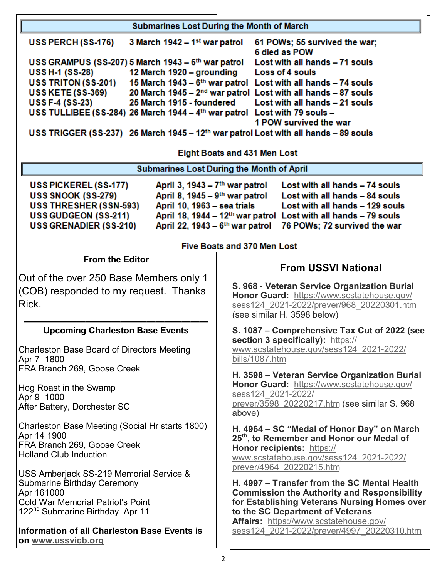| <b>Submarines Lost During the Month of March</b>                                                                                                                                                                                                                                                                                                                                                                                                                                                                                         |                                                                                              |  |  |
|------------------------------------------------------------------------------------------------------------------------------------------------------------------------------------------------------------------------------------------------------------------------------------------------------------------------------------------------------------------------------------------------------------------------------------------------------------------------------------------------------------------------------------------|----------------------------------------------------------------------------------------------|--|--|
| 3 March 1942 – $1st$ war patrol<br>USS PERCH (SS-176)                                                                                                                                                                                                                                                                                                                                                                                                                                                                                    | 61 POWs; 55 survived the war;<br>6 died as POW                                               |  |  |
| USS GRAMPUS (SS-207) 5 March 1943 - 6th war patrol                                                                                                                                                                                                                                                                                                                                                                                                                                                                                       | Lost with all hands - 71 souls                                                               |  |  |
| <b>USS H-1 (SS-28)</b><br>12 March 1920 – grounding<br><b>USS TRITON (SS-201)</b>                                                                                                                                                                                                                                                                                                                                                                                                                                                        | Loss of 4 souls<br>15 March 1943 - 6 <sup>th</sup> war patrol Lost with all hands - 74 souls |  |  |
| <b>USS KETE (SS-369)</b>                                                                                                                                                                                                                                                                                                                                                                                                                                                                                                                 | 20 March 1945 - 2 <sup>nd</sup> war patrol Lost with all hands - 87 souls                    |  |  |
| <b>USS F-4 (SS-23)</b><br>25 March 1915 - foundered<br>Lost with all hands - 21 souls                                                                                                                                                                                                                                                                                                                                                                                                                                                    |                                                                                              |  |  |
| USS TULLIBEE (SS-284) 26 March 1944 - 4th war patrol Lost with 79 souls -                                                                                                                                                                                                                                                                                                                                                                                                                                                                |                                                                                              |  |  |
| 1 POW survived the war<br>USS TRIGGER (SS-237) 26 March 1945 - 12 <sup>th</sup> war patrol Lost with all hands - 89 souls                                                                                                                                                                                                                                                                                                                                                                                                                |                                                                                              |  |  |
| <b>Eight Boats and 431 Men Lost</b>                                                                                                                                                                                                                                                                                                                                                                                                                                                                                                      |                                                                                              |  |  |
|                                                                                                                                                                                                                                                                                                                                                                                                                                                                                                                                          | <b>Submarines Lost During the Month of April</b>                                             |  |  |
| April 3, 1943 – 7 <sup>th</sup> war patrol<br>Lost with all hands - 74 souls<br>USS PICKEREL (SS-177)<br>USS SNOOK (SS-279)<br>April 8, 1945 - 9 <sup>th</sup> war patrol<br>Lost with all hands - 84 souls<br>USS THRESHER (SSN-593)<br>April 10, 1963 - sea trials<br>Lost with all hands - 129 souls<br>April 18, 1944 – 12 <sup>th</sup> war patrol<br><b>USS GUDGEON (SS-211)</b><br>Lost with all hands - 79 souls<br>April 22, 1943 – 6 <sup>th</sup> war patrol<br><b>USS GRENADIER (SS-210)</b><br>76 POWs; 72 survived the war |                                                                                              |  |  |
| <b>Five Boats and 370 Men Lost</b>                                                                                                                                                                                                                                                                                                                                                                                                                                                                                                       |                                                                                              |  |  |
| <b>From the Editor</b>                                                                                                                                                                                                                                                                                                                                                                                                                                                                                                                   | <b>From USSVI National</b>                                                                   |  |  |
| Out of the over 250 Base Members only 1                                                                                                                                                                                                                                                                                                                                                                                                                                                                                                  |                                                                                              |  |  |
| (COB) responded to my request. Thanks                                                                                                                                                                                                                                                                                                                                                                                                                                                                                                    | S. 968 - Veteran Service Organization Burial                                                 |  |  |
| Rick.                                                                                                                                                                                                                                                                                                                                                                                                                                                                                                                                    | Honor Guard: https://www.scstatehouse.gov/<br>sess124 2021-2022/prever/968 20220301.htm      |  |  |
|                                                                                                                                                                                                                                                                                                                                                                                                                                                                                                                                          | (see similar H. 3598 below)                                                                  |  |  |
| <b>Upcoming Charleston Base Events</b>                                                                                                                                                                                                                                                                                                                                                                                                                                                                                                   | S. 1087 – Comprehensive Tax Cut of 2022 (see                                                 |  |  |
|                                                                                                                                                                                                                                                                                                                                                                                                                                                                                                                                          | section 3 specifically): https://                                                            |  |  |
| <b>Charleston Base Board of Directors Meeting</b><br>Apr 7 1800                                                                                                                                                                                                                                                                                                                                                                                                                                                                          | www.scstatehouse.gov/sess124 2021-2022/<br>bills/1087.htm                                    |  |  |
| FRA Branch 269, Goose Creek                                                                                                                                                                                                                                                                                                                                                                                                                                                                                                              |                                                                                              |  |  |
|                                                                                                                                                                                                                                                                                                                                                                                                                                                                                                                                          | H. 3598 - Veteran Service Organization Burial<br>Honor Guard: https://www.scstatehouse.gov/  |  |  |
| Hog Roast in the Swamp<br>Apr 9 1000                                                                                                                                                                                                                                                                                                                                                                                                                                                                                                     | sess124 2021-2022/                                                                           |  |  |
| After Battery, Dorchester SC                                                                                                                                                                                                                                                                                                                                                                                                                                                                                                             | prever/3598 20220217.htm (see similar S. 968                                                 |  |  |
| Charleston Base Meeting (Social Hr starts 1800)                                                                                                                                                                                                                                                                                                                                                                                                                                                                                          | above)<br>H. 4964 – SC "Medal of Honor Day" on March                                         |  |  |
| Apr 14 1900<br>FRA Branch 269, Goose Creek                                                                                                                                                                                                                                                                                                                                                                                                                                                                                               | 25 <sup>th</sup> , to Remember and Honor our Medal of                                        |  |  |
| <b>Holland Club Induction</b>                                                                                                                                                                                                                                                                                                                                                                                                                                                                                                            | Honor recipients: https://<br>www.scstatehouse.gov/sess124_2021-2022/                        |  |  |
|                                                                                                                                                                                                                                                                                                                                                                                                                                                                                                                                          | prever/4964 20220215.htm                                                                     |  |  |
| USS Amberjack SS-219 Memorial Service &<br><b>Submarine Birthday Ceremony</b>                                                                                                                                                                                                                                                                                                                                                                                                                                                            | H. 4997 – Transfer from the SC Mental Health                                                 |  |  |
| Apr 161000                                                                                                                                                                                                                                                                                                                                                                                                                                                                                                                               | <b>Commission the Authority and Responsibility</b>                                           |  |  |
| <b>Cold War Memorial Patriot's Point</b>                                                                                                                                                                                                                                                                                                                                                                                                                                                                                                 | for Establishing Veterans Nursing Homes over                                                 |  |  |
| 122 <sup>nd</sup> Submarine Birthday Apr 11                                                                                                                                                                                                                                                                                                                                                                                                                                                                                              | to the SC Department of Veterans<br>Affairs: https://www.scstatehouse.gov/                   |  |  |
| <b>Information of all Charleston Base Events is</b><br>on www.ussvicb.org                                                                                                                                                                                                                                                                                                                                                                                                                                                                | sess124 2021-2022/prever/4997 20220310.htm                                                   |  |  |

2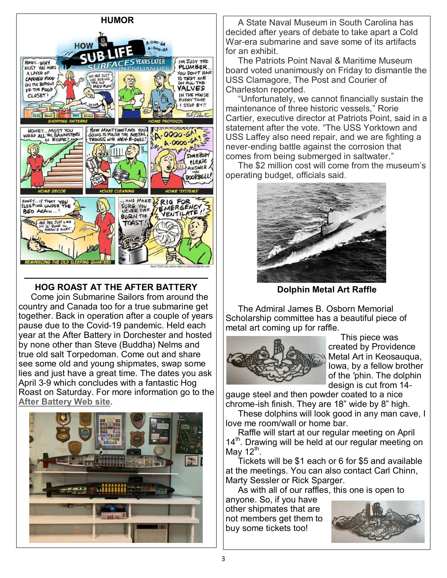

## **HOG ROAST AT THE AFTER BATTERY**

 Come join Submarine Sailors from around the country and Canada too for a true submarine get together. Back in operation after a couple of years pause due to the Covid-19 pandemic. Held each year at the After Battery in Dorchester and hosted by none other than Steve (Buddha) Nelms and true old salt Torpedoman. Come out and share see some old and young shipmates, swap some lies and just have a great time. The dates you ask April 3-9 which concludes with a fantastic Hog Roast on Saturday. For more information go to the **[After Battery Web site.](https://theafterbattery.org/)**



 A State Naval Museum in South Carolina has decided after years of debate to take apart a Cold War-era submarine and save some of its artifacts for an exhibit.

 The Patriots Point Naval & Maritime Museum board voted unanimously on Friday to dismantle the USS Clamagore, The Post and Courier of Charleston reported.

 "Unfortunately, we cannot financially sustain the maintenance of three historic vessels," Rorie Cartier, executive director at Patriots Point, said in a statement after the vote. "The USS Yorktown and USS Laffey also need repair, and we are fighting a never-ending battle against the corrosion that comes from being submerged in saltwater."

 The \$2 million cost will come from the museum's operating budget, officials said.



**Dolphin Metal Art Raffle**

 The Admiral James B. Osborn Memorial Scholarship committee has a beautiful piece of metal art coming up for raffle.



 This piece was created by Providence Metal Art in Keosauqua, Iowa, by a fellow brother of the ′phin. The dolphin design is cut from 14-

gauge steel and then powder coated to a nice chrome-ish finish. They are 18" wide by 8" high.

 These dolphins will look good in any man cave, I love me room/wall or home bar.

 Raffle will start at our regular meeting on April  $14<sup>th</sup>$ . Drawing will be held at our regular meeting on May 12 $^{\rm th}$ .

 Tickets will be \$1 each or 6 for \$5 and available at the meetings. You can also contact Carl Chinn, Marty Sessler or Rick Sparger.

As with all of our raffles, this one is open to

anyone. So, if you have other shipmates that are not members get them to buy some tickets too!

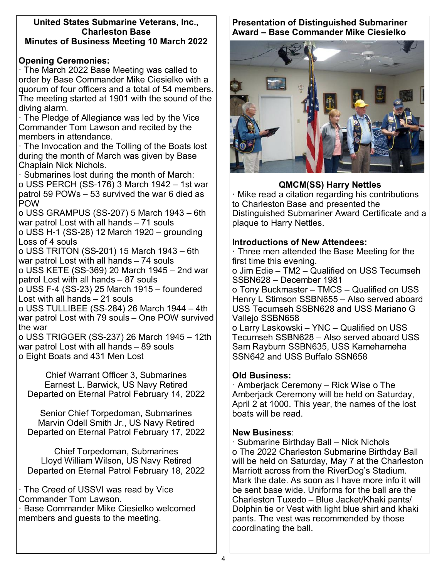#### **United States Submarine Veterans, Inc., Charleston Base Minutes of Business Meeting 10 March 2022**

### **Opening Ceremonies:**

· The March 2022 Base Meeting was called to order by Base Commander Mike Ciesielko with a quorum of four officers and a total of 54 members. The meeting started at 1901 with the sound of the diving alarm.

· The Pledge of Allegiance was led by the Vice Commander Tom Lawson and recited by the members in attendance.

· The Invocation and the Tolling of the Boats lost during the month of March was given by Base Chaplain Nick Nichols.

· Submarines lost during the month of March: o USS PERCH (SS-176) 3 March 1942 – 1st war patrol 59 POWs – 53 survived the war 6 died as POW

o USS GRAMPUS (SS-207) 5 March 1943 – 6th war patrol Lost with all hands – 71 souls

o USS H-1 (SS-28) 12 March 1920 – grounding Loss of 4 souls

o USS TRITON (SS-201) 15 March 1943 – 6th war patrol Lost with all hands – 74 souls

o USS KETE (SS-369) 20 March 1945 – 2nd war patrol Lost with all hands – 87 souls

o USS F-4 (SS-23) 25 March 1915 – foundered Lost with all hands – 21 souls

o USS TULLIBEE (SS-284) 26 March 1944 – 4th war patrol Lost with 79 souls – One POW survived the war

o USS TRIGGER (SS-237) 26 March 1945 – 12th war patrol Lost with all hands – 89 souls o Eight Boats and 431 Men Lost

Chief Warrant Officer 3, Submarines Earnest L. Barwick, US Navy Retired Departed on Eternal Patrol February 14, 2022

Senior Chief Torpedoman, Submarines Marvin Odell Smith Jr., US Navy Retired Departed on Eternal Patrol February 17, 2022

Chief Torpedoman, Submarines Lloyd William Wilson, US Navy Retired Departed on Eternal Patrol February 18, 2022

· The Creed of USSVI was read by Vice Commander Tom Lawson.

· Base Commander Mike Ciesielko welcomed members and guests to the meeting.

#### **Presentation of Distinguished Submariner Award – Base Commander Mike Ciesielko**



### **QMCM(SS) Harry Nettles**

· Mike read a citation regarding his contributions to Charleston Base and presented the Distinguished Submariner Award Certificate and a plaque to Harry Nettles.

#### **Introductions of New Attendees:**

· Three men attended the Base Meeting for the first time this evening.

o Jim Edie – TM2 – Qualified on USS Tecumseh SSBN628 – December 1981

o Tony Buckmaster – TMCS – Qualified on USS Henry L Stimson SSBN655 – Also served aboard USS Tecumseh SSBN628 and USS Mariano G Vallejo SSBN658

o Larry Laskowski – YNC – Qualified on USS Tecumseh SSBN628 – Also served aboard USS Sam Rayburn SSBN635, USS Kamehameha SSN642 and USS Buffalo SSN658

### **Old Business:**

· Amberjack Ceremony – Rick Wise o The Amberjack Ceremony will be held on Saturday, April 2 at 1000. This year, the names of the lost boats will be read.

#### **New Business**:

· Submarine Birthday Ball – Nick Nichols o The 2022 Charleston Submarine Birthday Ball will be held on Saturday, May 7 at the Charleston Marriott across from the RiverDog's Stadium. Mark the date. As soon as I have more info it will be sent base wide. Uniforms for the ball are the Charleston Tuxedo – Blue Jacket/Khaki pants/ Dolphin tie or Vest with light blue shirt and khaki pants. The vest was recommended by those coordinating the ball.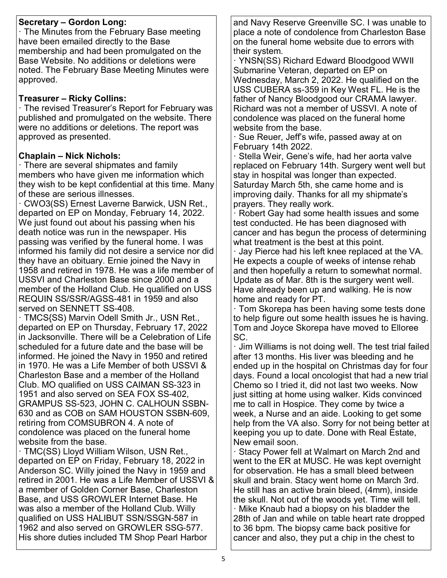### **Secretary – Gordon Long:**

· The Minutes from the February Base meeting have been emailed directly to the Base membership and had been promulgated on the Base Website. No additions or deletions were noted. The February Base Meeting Minutes were approved.

### **Treasurer – Ricky Collins:**

· The revised Treasurer's Report for February was published and promulgated on the website. There were no additions or deletions. The report was approved as presented.

### **Chaplain – Nick Nichols:**

· There are several shipmates and family members who have given me information which they wish to be kept confidential at this time. Many of these are serious illnesses.

· CWO3(SS) Ernest Laverne Barwick, USN Ret., departed on EP on Monday, February 14, 2022. We just found out about his passing when his death notice was run in the newspaper. His passing was verified by the funeral home. I was informed his family did not desire a service nor did they have an obituary. Ernie joined the Navy in 1958 and retired in 1978. He was a life member of USSVI and Charleston Base since 2000 and a member of the Holland Club. He qualified on USS REQUIN SS/SSR/AGSS-481 in 1959 and also served on SENNETT SS-408.

· TMCS{SS) Marvin Odell Smith Jr., USN Ret., departed on EP on Thursday, February 17, 2022 in Jacksonville. There will be a Celebration of Life scheduled for a future date and the base will be informed. He joined the Navy in 1950 and retired in 1970. He was a Life Member of both USSVI & Charleston Base and a member of the Holland Club. MO qualified on USS CAIMAN SS-323 in 1951 and also served on SEA FOX SS-402, GRAMPUS SS-523, JOHN C. CALHOUN SSBN-630 and as COB on SAM HOUSTON SSBN-609, retiring from COMSUBRON 4. A note of condolence was placed on the funeral home website from the base.

· TMC(SS) Lloyd William Wilson, USN Ret., departed on EP on Friday, February 18, 2022 in Anderson SC. Willy joined the Navy in 1959 and retired in 2001. He was a Life Member of USSVI & a member of Golden Corner Base, Charleston Base, and USS GROWLER Internet Base. He was also a member of the Holland Club. Willy qualified on USS HALIBUT SSN/SSGN-587 in 1962 and also served on GROWLER SSG-577. His shore duties included TM Shop Pearl Harbor

and Navy Reserve Greenville SC. I was unable to place a note of condolence from Charleston Base on the funeral home website due to errors with their system.

· YNSN(SS) Richard Edward Bloodgood WWII Submarine Veteran, departed on EP on Wednesday, March 2, 2022. He qualified on the USS CUBERA ss-359 in Key West FL. He is the father of Nancy Bloodgood our CRAMA lawyer. Richard was not a member of USSVI. A note of condolence was placed on the funeral home website from the base.

· Sue Reuer, Jeff's wife, passed away at on February 14th 2022.

· Stella Weir, Gene's wife, had her aorta valve replaced on February 14th. Surgery went well but stay in hospital was longer than expected. Saturday March 5th, she came home and is improving daily. Thanks for all my shipmate's prayers. They really work.

· Robert Gay had some health issues and some test conducted. He has been diagnosed with cancer and has begun the process of determining what treatment is the best at this point.

· Jay Pierce had his left knee replaced at the VA. He expects a couple of weeks of intense rehab and then hopefully a return to somewhat normal. Update as of Mar. 8th is the surgery went well. Have already been up and walking. He is now home and ready for PT.

· Tom Skorepa has been having some tests done to help figure out some health issues he is having. Tom and Joyce Skorepa have moved to Elloree SC.

· Jim Williams is not doing well. The test trial failed after 13 months. His liver was bleeding and he ended up in the hospital on Christmas day for four days. Found a local oncologist that had a new trial Chemo so I tried it, did not last two weeks. Now just sitting at home using walker. Kids convinced me to call in Hospice. They come by twice a week, a Nurse and an aide. Looking to get some help from the VA also. Sorry for not being better at keeping you up to date. Done with Real Estate, New email soon.

· Stacy Power fell at Walmart on March 2nd and went to the ER at MUSC. He was kept overnight for observation. He has a small bleed between skull and brain. Stacy went home on March 3rd. He still has an active brain bleed, (4mm), inside the skull. Not out of the woods yet. Time will tell. · Mike Knaub had a biopsy on his bladder the 28th of Jan and while on table heart rate dropped to 36 bpm. The biopsy came back positive for cancer and also, they put a chip in the chest to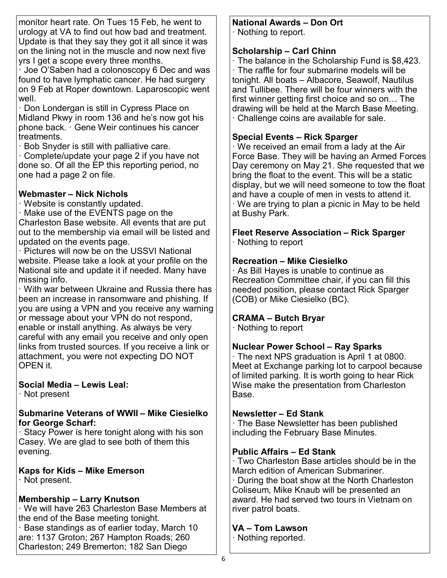monitor heart rate. On Tues 15 Feb, he went to urology at VA to find out how bad and treatment. Update is that they say they got it all since it was on the lining not in the muscle and now next five yrs I get a scope every three months.

· Joe O'Saben had a colonoscopy 6 Dec and was found to have lymphatic cancer. He had surgery on 9 Feb at Roper downtown. Laparoscopic went well.

· Don Londergan is still in Cypress Place on Midland Pkwy in room 136 and he's now got his phone back. · Gene Weir continues his cancer treatments.

· Bob Snyder is still with palliative care.

· Complete/update your page 2 if you have not done so. Of all the EP this reporting period, no one had a page 2 on file.

#### **Webmaster – Nick Nichols**

· Website is constantly updated.

· Make use of the EVENTS page on the Charleston Base website. All events that are put out to the membership via email will be listed and updated on the events page.

· Pictures will now be on the USSVI National website. Please take a look at your profile on the National site and update it if needed. Many have missing info.

· With war between Ukraine and Russia there has been an increase in ransomware and phishing. If you are using a VPN and you receive any warning or message about your VPN do not respond, enable or install anything. As always be very careful with any email you receive and only open links from trusted sources. If you receive a link or attachment, you were not expecting DO NOT OPEN it.

### **Social Media – Lewis Leal:**

· Not present

#### **Submarine Veterans of WWII – Mike Ciesielko for George Scharf:**

· Stacy Power is here tonight along with his son Casey. We are glad to see both of them this evening.

# **Kaps for Kids – Mike Emerson**

· Not present.

# **Membership – Larry Knutson**

· We will have 263 Charleston Base Members at the end of the Base meeting tonight.

· Base standings as of earlier today, March 10 are: 1137 Groton; 267 Hampton Roads; 260 Charleston; 249 Bremerton; 182 San Diego

# **National Awards – Don Ort**

· Nothing to report.

# **Scholarship – Carl Chinn**

· The balance in the Scholarship Fund is \$8,423. · The raffle for four submarine models will be tonight. All boats – Albacore, Seawolf, Nautilus and Tullibee. There will be four winners with the first winner getting first choice and so on… The drawing will be held at the March Base Meeting. · Challenge coins are available for sale.

# **Special Events – Rick Sparger**

· We received an email from a lady at the Air Force Base. They will be having an Armed Forces Day ceremony on May 21. She requested that we bring the float to the event. This will be a static display, but we will need someone to tow the float and have a couple of men in vests to attend it. · We are trying to plan a picnic in May to be held at Bushy Park.

**Fleet Reserve Association – Rick Sparger** · Nothing to report

# **Recreation – Mike Ciesielko**

· As Bill Hayes is unable to continue as Recreation Committee chair, if you can fill this needed position, please contact Rick Sparger (COB) or Mike Ciesielko (BC).

# **CRAMA – Butch Bryar**

· Nothing to report

# **Nuclear Power School – Ray Sparks**

· The next NPS graduation is April 1 at 0800. Meet at Exchange parking lot to carpool because of limited parking. It is worth going to hear Rick Wise make the presentation from Charleston Base.

# **Newsletter – Ed Stank**

· The Base Newsletter has been published including the February Base Minutes.

# **Public Affairs – Ed Stank**

· Two Charleston Base articles should be in the March edition of American Submariner. · During the boat show at the North Charleston

Coliseum, Mike Knaub will be presented an award. He had served two tours in Vietnam on river patrol boats.

# **VA – Tom Lawson**

· Nothing reported.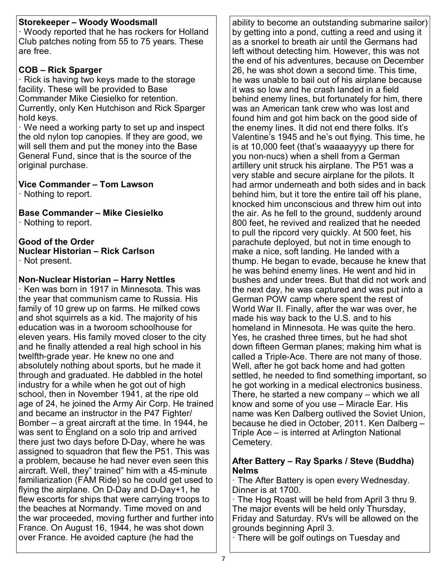### **Storekeeper – Woody Woodsmall**

· Woody reported that he has rockers for Holland Club patches noting from 55 to 75 years. These are free.

## **COB – Rick Sparger**

· Rick is having two keys made to the storage facility. These will be provided to Base Commander Mike Ciesielko for retention. Currently, only Ken Hutchison and Rick Sparger hold keys.

· We need a working party to set up and inspect the old nylon top canopies. If they are good, we will sell them and put the money into the Base General Fund, since that is the source of the original purchase.

# **Vice Commander – Tom Lawson**

· Nothing to report.

**Base Commander – Mike Ciesielko** · Nothing to report.

# **Good of the Order**

**Nuclear Historian – Rick Carlson** · Not present.

# **Non-Nuclear Historian – Harry Nettles**

· Ken was born in 1917 in Minnesota. This was the year that communism came to Russia. His family of 10 grew up on farms. He milked cows and shot squirrels as a kid. The majority of his education was in a tworoom schoolhouse for eleven years. His family moved closer to the city and he finally attended a real high school in his twelfth-grade year. He knew no one and absolutely nothing about sports, but he made it through and graduated. He dabbled in the hotel industry for a while when he got out of high school, then in November 1941, at the ripe old age of 24, he joined the Army Air Corp. He trained and became an instructor in the P47 Fighter/ Bomber – a great aircraft at the time. In 1944, he was sent to England on a solo trip and arrived there just two days before D-Day, where he was assigned to squadron that flew the P51. This was a problem, because he had never even seen this aircraft. Well, they" trained" him with a 45-minute familiarization (FAM Ride) so he could get used to flying the airplane. On D-Day and D-Day+1, he flew escorts for ships that were carrying troops to the beaches at Normandy. Time moved on and the war proceeded, moving further and further into France. On August 16, 1944, he was shot down over France. He avoided capture (he had the

ability to become an outstanding submarine sailor) by getting into a pond, cutting a reed and using it as a snorkel to breath air until the Germans had left without detecting him. However, this was not the end of his adventures, because on December 26, he was shot down a second time. This time, he was unable to bail out of his airplane because it was so low and he crash landed in a field behind enemy lines, but fortunately for him, there was an American tank crew who was lost and found him and got him back on the good side of the enemy lines. It did not end there folks. It's Valentine's 1945 and he's out flying. This time, he is at 10,000 feet (that's waaaayyyy up there for you non-nucs) when a shell from a German artillery unit struck his airplane. The P51 was a very stable and secure airplane for the pilots. It had armor underneath and both sides and in back behind him, but it tore the entire tail off his plane, knocked him unconscious and threw him out into the air. As he fell to the ground, suddenly around 800 feet, he revived and realized that he needed to pull the ripcord very quickly. At 500 feet, his parachute deployed, but not in time enough to make a nice, soft landing. He landed with a thump. He began to evade, because he knew that he was behind enemy lines. He went and hid in bushes and under trees. But that did not work and the next day, he was captured and was put into a German POW camp where spent the rest of World War II. Finally, after the war was over, he made his way back to the U.S. and to his homeland in Minnesota. He was quite the hero. Yes, he crashed three times, but he had shot down fifteen German planes; making him what is called a Triple-Ace. There are not many of those. Well, after he got back home and had gotten settled, he needed to find something important, so he got working in a medical electronics business. There, he started a new company – which we all know and some of you use – Miracle Ear. His name was Ken Dalberg outlived the Soviet Union, because he died in October, 2011. Ken Dalberg – Triple Ace – is interred at Arlington National Cemetery.

### **After Battery – Ray Sparks / Steve (Buddha) Nelms**

· The After Battery is open every Wednesday. Dinner is at 1700.

· The Hog Roast will be held from April 3 thru 9. The major events will be held only Thursday, Friday and Saturday. RVs will be allowed on the grounds beginning April 3.

· There will be golf outings on Tuesday and